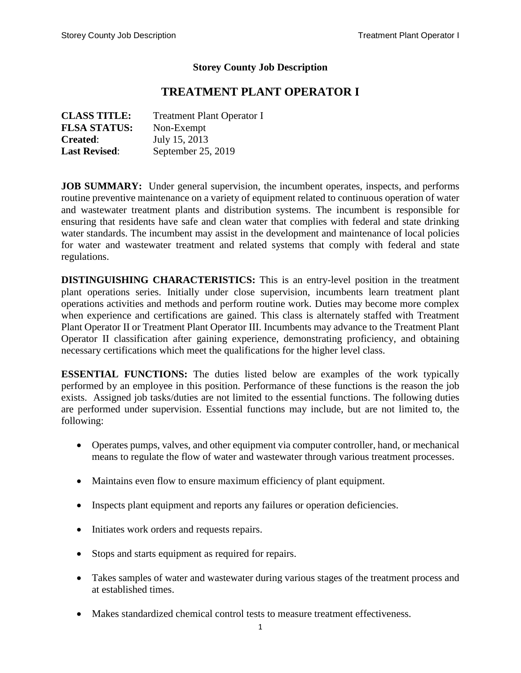#### **Storey County Job Description**

# **TREATMENT PLANT OPERATOR I**

| <b>CLASS TITLE:</b>  | <b>Treatment Plant Operator I</b> |
|----------------------|-----------------------------------|
| <b>FLSA STATUS:</b>  | Non-Exempt                        |
| <b>Created:</b>      | July 15, 2013                     |
| <b>Last Revised:</b> | September 25, 2019                |

**JOB SUMMARY:** Under general supervision, the incumbent operates, inspects, and performs routine preventive maintenance on a variety of equipment related to continuous operation of water and wastewater treatment plants and distribution systems. The incumbent is responsible for ensuring that residents have safe and clean water that complies with federal and state drinking water standards. The incumbent may assist in the development and maintenance of local policies for water and wastewater treatment and related systems that comply with federal and state regulations.

**DISTINGUISHING CHARACTERISTICS:** This is an entry-level position in the treatment plant operations series. Initially under close supervision, incumbents learn treatment plant operations activities and methods and perform routine work. Duties may become more complex when experience and certifications are gained. This class is alternately staffed with Treatment Plant Operator II or Treatment Plant Operator III. Incumbents may advance to the Treatment Plant Operator II classification after gaining experience, demonstrating proficiency, and obtaining necessary certifications which meet the qualifications for the higher level class.

**ESSENTIAL FUNCTIONS:** The duties listed below are examples of the work typically performed by an employee in this position. Performance of these functions is the reason the job exists. Assigned job tasks/duties are not limited to the essential functions. The following duties are performed under supervision. Essential functions may include, but are not limited to, the following:

- Operates pumps, valves, and other equipment via computer controller, hand, or mechanical means to regulate the flow of water and wastewater through various treatment processes.
- Maintains even flow to ensure maximum efficiency of plant equipment.
- Inspects plant equipment and reports any failures or operation deficiencies.
- Initiates work orders and requests repairs.
- Stops and starts equipment as required for repairs.
- Takes samples of water and wastewater during various stages of the treatment process and at established times.
- Makes standardized chemical control tests to measure treatment effectiveness.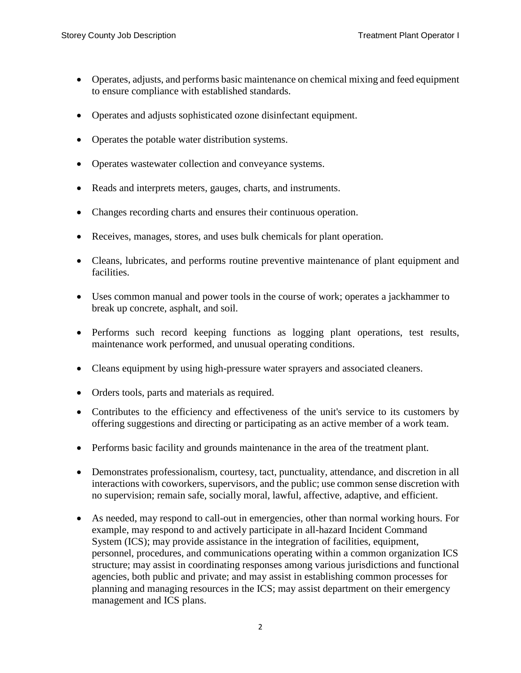- Operates, adjusts, and performs basic maintenance on chemical mixing and feed equipment to ensure compliance with established standards.
- Operates and adjusts sophisticated ozone disinfectant equipment.
- Operates the potable water distribution systems.
- Operates wastewater collection and conveyance systems.
- Reads and interprets meters, gauges, charts, and instruments.
- Changes recording charts and ensures their continuous operation.
- Receives, manages, stores, and uses bulk chemicals for plant operation.
- Cleans, lubricates, and performs routine preventive maintenance of plant equipment and facilities.
- Uses common manual and power tools in the course of work; operates a jackhammer to break up concrete, asphalt, and soil.
- Performs such record keeping functions as logging plant operations, test results, maintenance work performed, and unusual operating conditions.
- Cleans equipment by using high-pressure water sprayers and associated cleaners.
- Orders tools, parts and materials as required.
- Contributes to the efficiency and effectiveness of the unit's service to its customers by offering suggestions and directing or participating as an active member of a work team.
- Performs basic facility and grounds maintenance in the area of the treatment plant.
- Demonstrates professionalism, courtesy, tact, punctuality, attendance, and discretion in all interactions with coworkers, supervisors, and the public; use common sense discretion with no supervision; remain safe, socially moral, lawful, affective, adaptive, and efficient.
- As needed, may respond to call-out in emergencies, other than normal working hours. For example, may respond to and actively participate in all-hazard Incident Command System (ICS); may provide assistance in the integration of facilities, equipment, personnel, procedures, and communications operating within a common organization ICS structure; may assist in coordinating responses among various jurisdictions and functional agencies, both public and private; and may assist in establishing common processes for planning and managing resources in the ICS; may assist department on their emergency management and ICS plans.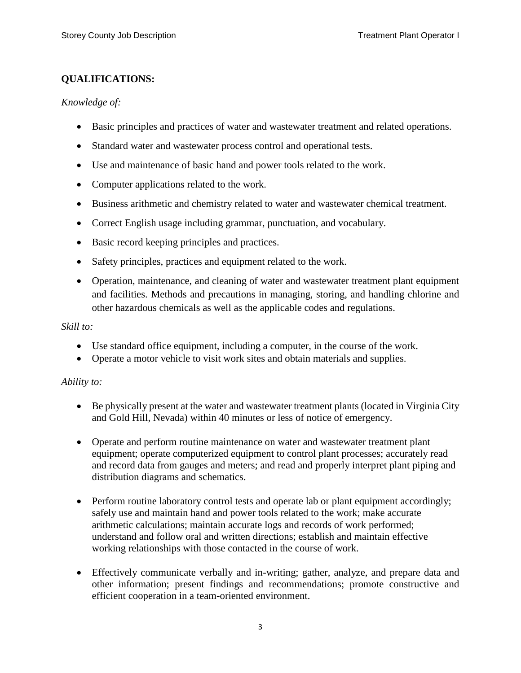## **QUALIFICATIONS:**

#### *Knowledge of:*

- Basic principles and practices of water and wastewater treatment and related operations.
- Standard water and wastewater process control and operational tests.
- Use and maintenance of basic hand and power tools related to the work.
- Computer applications related to the work.
- Business arithmetic and chemistry related to water and wastewater chemical treatment.
- Correct English usage including grammar, punctuation, and vocabulary.
- Basic record keeping principles and practices.
- Safety principles, practices and equipment related to the work.
- Operation, maintenance, and cleaning of water and wastewater treatment plant equipment and facilities. Methods and precautions in managing, storing, and handling chlorine and other hazardous chemicals as well as the applicable codes and regulations.

#### *Skill to:*

- Use standard office equipment, including a computer, in the course of the work.
- Operate a motor vehicle to visit work sites and obtain materials and supplies.

### *Ability to:*

- Be physically present at the water and wastewater treatment plants (located in Virginia City and Gold Hill, Nevada) within 40 minutes or less of notice of emergency.
- Operate and perform routine maintenance on water and wastewater treatment plant equipment; operate computerized equipment to control plant processes; accurately read and record data from gauges and meters; and read and properly interpret plant piping and distribution diagrams and schematics.
- Perform routine laboratory control tests and operate lab or plant equipment accordingly; safely use and maintain hand and power tools related to the work; make accurate arithmetic calculations; maintain accurate logs and records of work performed; understand and follow oral and written directions; establish and maintain effective working relationships with those contacted in the course of work.
- Effectively communicate verbally and in-writing; gather, analyze, and prepare data and other information; present findings and recommendations; promote constructive and efficient cooperation in a team-oriented environment.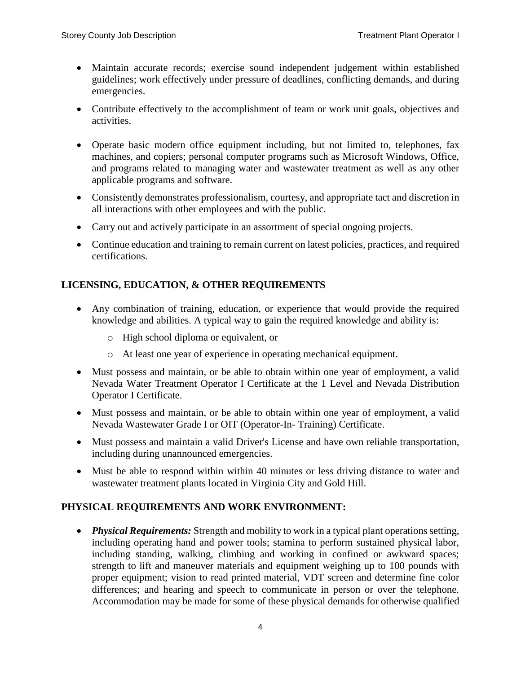- Maintain accurate records; exercise sound independent judgement within established guidelines; work effectively under pressure of deadlines, conflicting demands, and during emergencies.
- Contribute effectively to the accomplishment of team or work unit goals, objectives and activities.
- Operate basic modern office equipment including, but not limited to, telephones, fax machines, and copiers; personal computer programs such as Microsoft Windows, Office, and programs related to managing water and wastewater treatment as well as any other applicable programs and software.
- Consistently demonstrates professionalism, courtesy, and appropriate tact and discretion in all interactions with other employees and with the public.
- Carry out and actively participate in an assortment of special ongoing projects.
- Continue education and training to remain current on latest policies, practices, and required certifications.

## **LICENSING, EDUCATION, & OTHER REQUIREMENTS**

- Any combination of training, education, or experience that would provide the required knowledge and abilities. A typical way to gain the required knowledge and ability is:
	- o High school diploma or equivalent, or
	- o At least one year of experience in operating mechanical equipment.
- Must possess and maintain, or be able to obtain within one year of employment, a valid Nevada Water Treatment Operator I Certificate at the 1 Level and Nevada Distribution Operator I Certificate.
- Must possess and maintain, or be able to obtain within one year of employment, a valid Nevada Wastewater Grade I or OIT (Operator-In- Training) Certificate.
- Must possess and maintain a valid Driver's License and have own reliable transportation, including during unannounced emergencies.
- Must be able to respond within within 40 minutes or less driving distance to water and wastewater treatment plants located in Virginia City and Gold Hill.

## **PHYSICAL REQUIREMENTS AND WORK ENVIRONMENT:**

 *Physical Requirements:* Strength and mobility to work in a typical plant operations setting, including operating hand and power tools; stamina to perform sustained physical labor, including standing, walking, climbing and working in confined or awkward spaces; strength to lift and maneuver materials and equipment weighing up to 100 pounds with proper equipment; vision to read printed material, VDT screen and determine fine color differences; and hearing and speech to communicate in person or over the telephone. Accommodation may be made for some of these physical demands for otherwise qualified